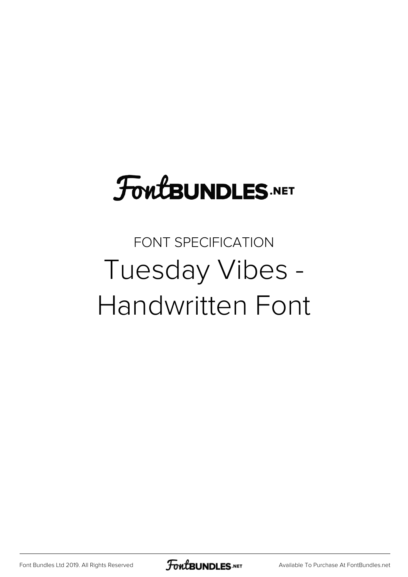## **FoutBUNDLES.NET**

## FONT SPECIFICATION Tuesday Vibes - Handwritten Font

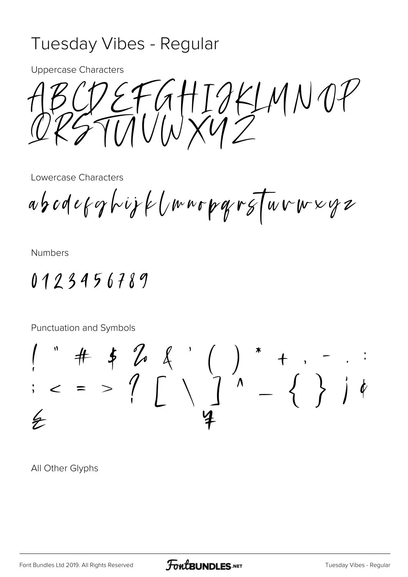## Tuesday Vibes - Regular

**Uppercase Characters** 

REFGHIJKLMNOP

Lowercase Characters

abodeforhijk (mnopargTuvwxyz

**Numbers** 

0123456789

Punctuation and Symbols

 $\frac{1}{7}$ 

All Other Glyphs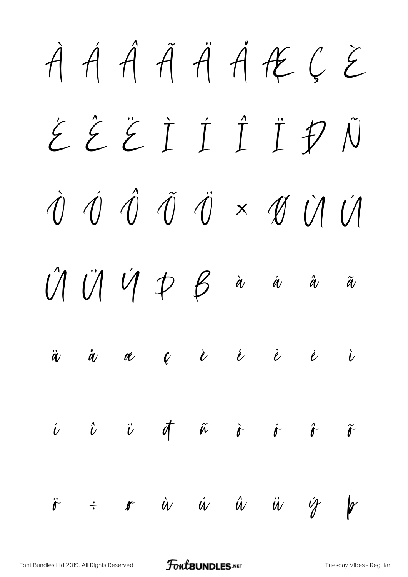